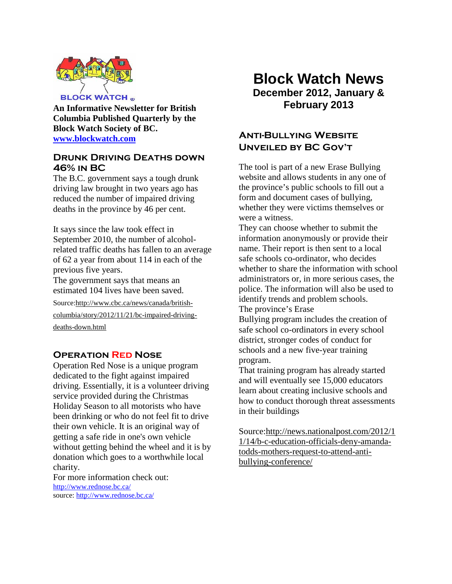

**An Informative Newsletter for British Columbia Published Quarterly by the Block Watch Society of BC. [www.blockwatch.com](http://www.blockwatch.com/)**

### **DRUNK DRIVING DEATHS DOWN 46% in BC**

The B.C. government says a tough drunk driving law brought in two years ago has reduced the number of impaired driving deaths in the province by 46 per cent.

It says since the law took effect in September 2010, the number of alcoholrelated traffic deaths has fallen to an average of 62 a year from about 114 in each of the previous five years.

The government says that means an estimated 104 lives have been saved.

Source:http://www.cbc.ca/news/canada/british-

columbia/story/2012/11/21/bc-impaired-driving-

deaths-down.html

## **Operation Red Nose**

Operation Red Nose is a unique program dedicated to the fight against impaired driving. Essentially, it is a volunteer driving service provided during the Christmas Holiday Season to all motorists who have been drinking or who do not feel fit to drive their own vehicle. It is an original way of getting a safe ride in one's own vehicle without getting behind the wheel and it is by donation which goes to a worthwhile local charity.

For more information check out: <http://www.rednose.bc.ca/> source:<http://www.rednose.bc.ca/>

# **Block Watch News December 2012, January & February 2013**

# **Anti-Bullying Website Unveiled by BC Gov't**

The tool is part of a new Erase Bullying website and allows students in any one of the province's public schools to fill out a form and document cases of bullying, whether they were victims themselves or were a witness.

They can choose whether to submit the information anonymously or provide their name. Their report is then sent to a local safe schools co-ordinator, who decides whether to share the information with school administrators or, in more serious cases, the police. The information will also be used to identify trends and problem schools.

The province's Erase

Bullying program includes the creation of safe school co-ordinators in every school district, stronger codes of conduct for schools and a new five-year training program.

That training program has already started and will eventually see 15,000 educators learn about creating inclusive schools and how to conduct thorough threat assessments in their buildings

Source:http://news.nationalpost.com/2012/1 1/14/b-c-education-officials-deny-amandatodds-mothers-request-to-attend-antibullying-conference/